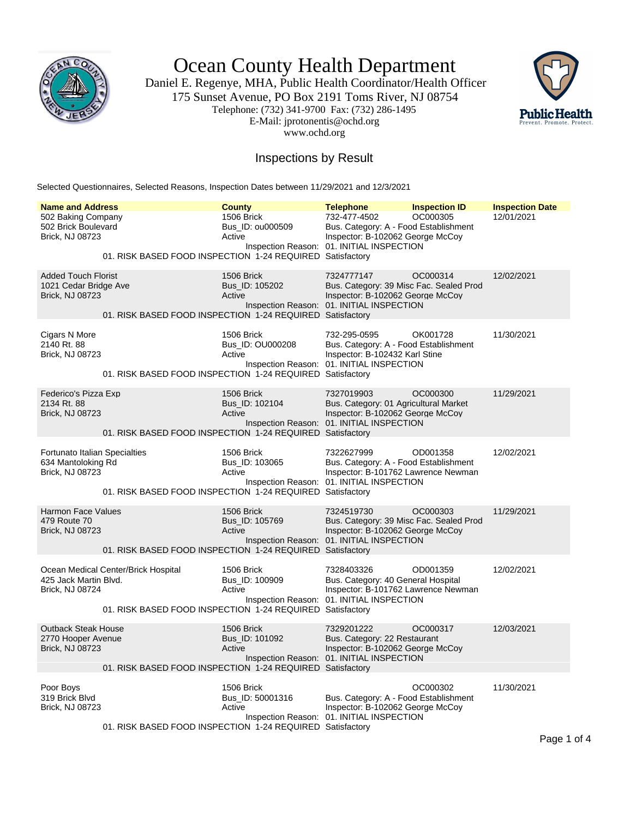

Ocean County Health Department

Daniel E. Regenye, MHA, Public Health Coordinator/Health Officer 175 Sunset Avenue, PO Box 2191 Toms River, NJ 08754 Telephone: (732) 341-9700 Fax: (732) 286-1495 E-Mail: jprotonentis@ochd.org www.ochd.org



## Inspections by Result

Selected Questionnaires, Selected Reasons, Inspection Dates between 11/29/2021 and 12/3/2021

| <b>Name and Address</b><br>502 Baking Company<br>502 Brick Boulevard<br><b>Brick, NJ 08723</b> |                                                                                                  | <b>County</b><br>1506 Brick<br>Bus_ID: 0u000509<br>Active    | <b>Telephone</b><br>732-477-4502<br>Bus. Category: A - Food Establishment<br>Inspector: B-102062 George McCoy<br>Inspection Reason: 01. INITIAL INSPECTION | <b>Inspection ID</b><br>OC000305 | <b>Inspection Date</b><br>12/01/2021 |
|------------------------------------------------------------------------------------------------|--------------------------------------------------------------------------------------------------|--------------------------------------------------------------|------------------------------------------------------------------------------------------------------------------------------------------------------------|----------------------------------|--------------------------------------|
| 01. RISK BASED FOOD INSPECTION 1-24 REQUIRED Satisfactory                                      |                                                                                                  |                                                              |                                                                                                                                                            |                                  |                                      |
| <b>Added Touch Florist</b><br>1021 Cedar Bridge Ave<br>Brick, NJ 08723                         | 01. RISK BASED FOOD INSPECTION 1-24 REQUIRED Satisfactory                                        | 1506 Brick<br>Bus_ID: 105202<br>Active                       | 7324777147<br>Bus. Category: 39 Misc Fac. Sealed Prod<br>Inspector: B-102062 George McCoy<br>Inspection Reason: 01. INITIAL INSPECTION                     | OC000314                         | 12/02/2021                           |
| Cigars N More<br>2140 Rt. 88<br>Brick, NJ 08723                                                | 01. RISK BASED FOOD INSPECTION 1-24 REQUIRED Satisfactory                                        | 1506 Brick<br>Bus_ID: OU000208<br>Active                     | 732-295-0595<br>Bus. Category: A - Food Establishment<br>Inspector: B-102432 Karl Stine<br>Inspection Reason: 01. INITIAL INSPECTION                       | OK001728                         | 11/30/2021                           |
| Federico's Pizza Exp<br>2134 Rt. 88<br><b>Brick, NJ 08723</b>                                  | 01. RISK BASED FOOD INSPECTION 1-24 REQUIRED Satisfactory                                        | 1506 Brick<br>Bus_ID: 102104<br>Active                       | 7327019903<br>Bus. Category: 01 Agricultural Market<br>Inspector: B-102062 George McCoy<br>Inspection Reason: 01. INITIAL INSPECTION                       | OC000300                         | 11/29/2021                           |
| Fortunato Italian Specialties<br>634 Mantoloking Rd<br>Brick, NJ 08723                         | 01. RISK BASED FOOD INSPECTION 1-24 REQUIRED Satisfactory                                        | 1506 Brick<br>Bus_ID: 103065<br>Active                       | 7322627999<br>Bus. Category: A - Food Establishment<br>Inspector: B-101762 Lawrence Newman<br>Inspection Reason: 01. INITIAL INSPECTION                    | OD001358                         | 12/02/2021                           |
| Harmon Face Values<br>479 Route 70<br>Brick, NJ 08723                                          | 01. RISK BASED FOOD INSPECTION 1-24 REQUIRED Satisfactory                                        | 1506 Brick<br>Bus_ID: 105769<br>Active                       | 7324519730<br>Bus. Category: 39 Misc Fac. Sealed Prod<br>Inspector: B-102062 George McCoy<br>Inspection Reason: 01. INITIAL INSPECTION                     | OC000303                         | 11/29/2021                           |
| 425 Jack Martin Blvd.<br><b>Brick, NJ 08724</b>                                                | Ocean Medical Center/Brick Hospital<br>01. RISK BASED FOOD INSPECTION 1-24 REQUIRED Satisfactory | 1506 Brick<br>Bus_ID: 100909<br>Active<br>Inspection Reason: | 7328403326<br>Bus. Category: 40 General Hospital<br>Inspector: B-101762 Lawrence Newman<br>01. INITIAL INSPECTION                                          | OD001359                         | 12/02/2021                           |
| <b>Outback Steak House</b><br>2770 Hooper Avenue<br>Brick, NJ 08723                            | 01. RISK BASED FOOD INSPECTION 1-24 REQUIRED Satisfactory                                        | 1506 Brick<br>Bus ID: 101092<br>Active                       | 7329201222<br>Bus. Category: 22 Restaurant<br>Inspector: B-102062 George McCoy<br>Inspection Reason: 01. INITIAL INSPECTION                                | OC000317                         | 12/03/2021                           |
| Poor Boys<br>319 Brick Blvd<br>Brick, NJ 08723                                                 | 01. RISK BASED FOOD INSPECTION 1-24 REQUIRED Satisfactory                                        | 1506 Brick<br>Bus_ID: 50001316<br>Active                     | Bus. Category: A - Food Establishment<br>Inspector: B-102062 George McCoy<br>Inspection Reason: 01. INITIAL INSPECTION                                     | OC000302                         | 11/30/2021                           |
|                                                                                                |                                                                                                  |                                                              |                                                                                                                                                            |                                  | Page 1 of 4                          |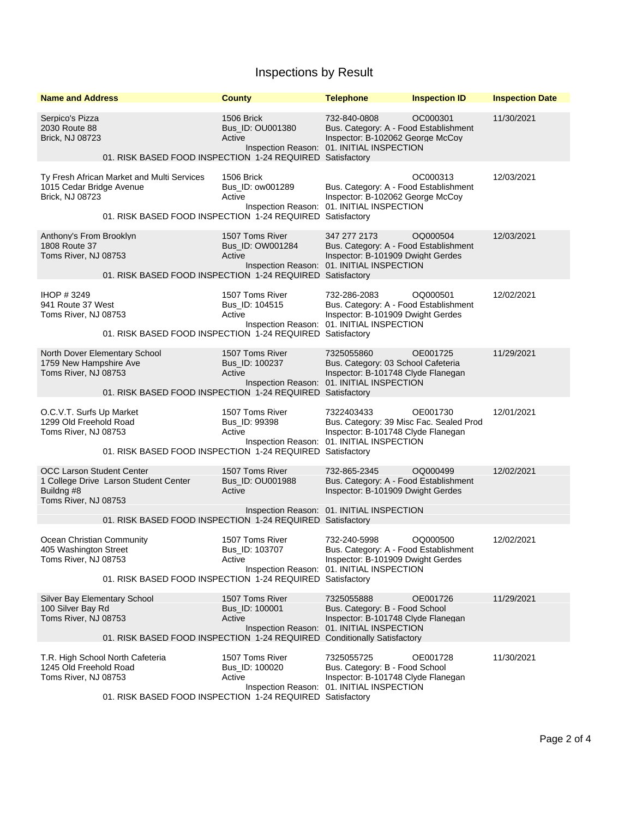## Inspections by Result

| <b>Name and Address</b>                                                          |                                                                                                         | <b>County</b>                                 | <b>Telephone</b>                                                                                                                         | <b>Inspection ID</b> | <b>Inspection Date</b> |
|----------------------------------------------------------------------------------|---------------------------------------------------------------------------------------------------------|-----------------------------------------------|------------------------------------------------------------------------------------------------------------------------------------------|----------------------|------------------------|
| Serpico's Pizza<br>2030 Route 88<br><b>Brick, NJ 08723</b>                       | 01. RISK BASED FOOD INSPECTION 1-24 REQUIRED Satisfactory                                               | 1506 Brick<br>Bus_ID: OU001380<br>Active      | 732-840-0808<br>Bus. Category: A - Food Establishment<br>Inspector: B-102062 George McCoy<br>Inspection Reason: 01. INITIAL INSPECTION   | OC000301             | 11/30/2021             |
| 1015 Cedar Bridge Avenue<br>Brick, NJ 08723                                      | Ty Fresh African Market and Multi Services<br>01. RISK BASED FOOD INSPECTION 1-24 REQUIRED Satisfactory | 1506 Brick<br>Bus_ID: ow001289<br>Active      | Bus. Category: A - Food Establishment<br>Inspector: B-102062 George McCoy<br>Inspection Reason: 01. INITIAL INSPECTION                   | OC000313             | 12/03/2021             |
| Anthony's From Brooklyn<br>1808 Route 37<br>Toms River, NJ 08753                 | 01. RISK BASED FOOD INSPECTION 1-24 REQUIRED Satisfactory                                               | 1507 Toms River<br>Bus_ID: OW001284<br>Active | 347 277 2173<br>Bus. Category: A - Food Establishment<br>Inspector: B-101909 Dwight Gerdes<br>Inspection Reason: 01. INITIAL INSPECTION  | OQ000504             | 12/03/2021             |
| IHOP #3249<br>941 Route 37 West<br>Toms River, NJ 08753                          | 01. RISK BASED FOOD INSPECTION 1-24 REQUIRED Satisfactory                                               | 1507 Toms River<br>Bus_ID: 104515<br>Active   | 732-286-2083<br>Bus. Category: A - Food Establishment<br>Inspector: B-101909 Dwight Gerdes<br>Inspection Reason: 01. INITIAL INSPECTION  | OQ000501             | 12/02/2021             |
| 1759 New Hampshire Ave<br>Toms River, NJ 08753                                   | North Dover Elementary School<br>01. RISK BASED FOOD INSPECTION 1-24 REQUIRED Satisfactory              | 1507 Toms River<br>Bus ID: 100237<br>Active   | 7325055860<br>Bus. Category: 03 School Cafeteria<br>Inspector: B-101748 Clyde Flanegan<br>Inspection Reason: 01. INITIAL INSPECTION      | OE001725             | 11/29/2021             |
| O.C.V.T. Surfs Up Market<br>1299 Old Freehold Road<br>Toms River, NJ 08753       | 01. RISK BASED FOOD INSPECTION 1-24 REQUIRED Satisfactory                                               | 1507 Toms River<br>Bus_ID: 99398<br>Active    | 7322403433<br>Bus. Category: 39 Misc Fac. Sealed Prod<br>Inspector: B-101748 Clyde Flanegan<br>Inspection Reason: 01. INITIAL INSPECTION | OE001730             | 12/01/2021             |
| <b>OCC Larson Student Center</b><br>Buildng #8<br>Toms River, NJ 08753           | 1 College Drive Larson Student Center<br>01. RISK BASED FOOD INSPECTION 1-24 REQUIRED Satisfactory      | 1507 Toms River<br>Bus_ID: OU001988<br>Active | 732-865-2345<br>Bus. Category: A - Food Establishment<br>Inspector: B-101909 Dwight Gerdes<br>Inspection Reason: 01. INITIAL INSPECTION  | OQ000499             | 12/02/2021             |
| Ocean Christian Community<br>405 Washington Street<br>Toms River, NJ 08753       | 01. RISK BASED FOOD INSPECTION 1-24 REQUIRED Satisfactory                                               | 1507 Toms River<br>Bus_ID: 103707<br>Active   | 732-240-5998<br>Bus. Category: A - Food Establishment<br>Inspector: B-101909 Dwight Gerdes<br>Inspection Reason: 01. INITIAL INSPECTION  | OQ000500             | 12/02/2021             |
| <b>Silver Bay Elementary School</b><br>100 Silver Bay Rd<br>Toms River, NJ 08753 | 01. RISK BASED FOOD INSPECTION 1-24 REQUIRED Conditionally Satisfactory                                 | 1507 Toms River<br>Bus ID: 100001<br>Active   | 7325055888<br>Bus. Category: B - Food School<br>Inspector: B-101748 Clyde Flanegan<br>Inspection Reason: 01. INITIAL INSPECTION          | OE001726             | 11/29/2021             |
| 1245 Old Freehold Road<br>Toms River, NJ 08753                                   | T.R. High School North Cafeteria<br>01. RISK BASED FOOD INSPECTION 1-24 REQUIRED Satisfactory           | 1507 Toms River<br>Bus ID: 100020<br>Active   | 7325055725<br>Bus. Category: B - Food School<br>Inspector: B-101748 Clyde Flanegan<br>Inspection Reason: 01. INITIAL INSPECTION          | OE001728             | 11/30/2021             |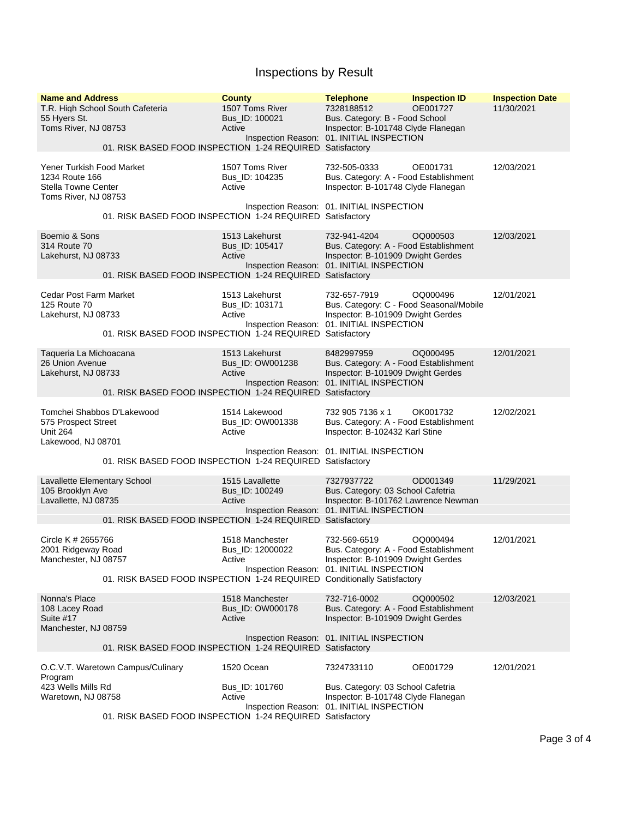## Inspections by Result

| <b>Name and Address</b><br>T.R. High School South Cafeteria<br>55 Hyers St.<br>Toms River, NJ 08753 | 01. RISK BASED FOOD INSPECTION 1-24 REQUIRED Satisfactory                                      | <b>County</b><br>1507 Toms River<br>Bus_ID: 100021<br>Active | <b>Telephone</b><br>7328188512<br>Bus. Category: B - Food School<br>Inspector: B-101748 Clyde Flanegan<br>Inspection Reason: 01. INITIAL INSPECTION | <b>Inspection ID</b><br>OE001727 | <b>Inspection Date</b><br>11/30/2021 |
|-----------------------------------------------------------------------------------------------------|------------------------------------------------------------------------------------------------|--------------------------------------------------------------|-----------------------------------------------------------------------------------------------------------------------------------------------------|----------------------------------|--------------------------------------|
| Yener Turkish Food Market<br>1234 Route 166<br>Stella Towne Center<br>Toms River, NJ 08753          |                                                                                                | 1507 Toms River<br>Bus_ID: 104235<br>Active                  | 732-505-0333<br>Bus. Category: A - Food Establishment<br>Inspector: B-101748 Clyde Flanegan                                                         | OE001731                         | 12/03/2021                           |
|                                                                                                     | 01. RISK BASED FOOD INSPECTION 1-24 REQUIRED Satisfactory                                      |                                                              | Inspection Reason: 01. INITIAL INSPECTION                                                                                                           |                                  |                                      |
| Boemio & Sons<br>314 Route 70<br>Lakehurst, NJ 08733                                                | 01. RISK BASED FOOD INSPECTION 1-24 REQUIRED Satisfactory                                      | 1513 Lakehurst<br>Bus_ID: 105417<br>Active                   | 732-941-4204<br>Bus. Category: A - Food Establishment<br>Inspector: B-101909 Dwight Gerdes<br>Inspection Reason: 01. INITIAL INSPECTION             | OQ000503                         | 12/03/2021                           |
| Cedar Post Farm Market<br>125 Route 70<br>Lakehurst, NJ 08733                                       | 01. RISK BASED FOOD INSPECTION 1-24 REQUIRED Satisfactory                                      | 1513 Lakehurst<br>Bus_ID: 103171<br>Active                   | 732-657-7919<br>Bus. Category: C - Food Seasonal/Mobile<br>Inspector: B-101909 Dwight Gerdes<br>Inspection Reason: 01. INITIAL INSPECTION           | OQ000496                         | 12/01/2021                           |
| Taqueria La Michoacana<br>26 Union Avenue<br>Lakehurst, NJ 08733                                    | 01. RISK BASED FOOD INSPECTION 1-24 REQUIRED Satisfactory                                      | 1513 Lakehurst<br>Bus_ID: OW001238<br>Active                 | 8482997959<br>Bus. Category: A - Food Establishment<br>Inspector: B-101909 Dwight Gerdes<br>Inspection Reason: 01. INITIAL INSPECTION               | OQ000495                         | 12/01/2021                           |
| Tomchei Shabbos D'Lakewood<br>575 Prospect Street<br><b>Unit 264</b><br>Lakewood, NJ 08701          | 01. RISK BASED FOOD INSPECTION 1-24 REQUIRED Satisfactory                                      | 1514 Lakewood<br>Bus_ID: OW001338<br>Active                  | 732 905 7136 x 1<br>Bus. Category: A - Food Establishment<br>Inspector: B-102432 Karl Stine<br>Inspection Reason: 01. INITIAL INSPECTION            | OK001732                         | 12/02/2021                           |
| <b>Lavallette Elementary School</b><br>105 Brooklyn Ave<br>Lavallette, NJ 08735                     | 01. RISK BASED FOOD INSPECTION 1-24 REQUIRED Satisfactory                                      | 1515 Lavallette<br>Bus_ID: 100249<br>Active                  | 7327937722<br>Bus. Category: 03 School Cafetria<br>Inspector: B-101762 Lawrence Newman<br>Inspection Reason: 01. INITIAL INSPECTION                 | OD001349                         | 11/29/2021                           |
| Circle K # 2655766<br>2001 Ridgeway Road<br>Manchester, NJ 08757                                    | 01. RISK BASED FOOD INSPECTION 1-24 REQUIRED Conditionally Satisfactory                        | 1518 Manchester<br>Bus ID: 12000022<br>Active                | 732-569-6519<br>Bus. Category: A - Food Establishment<br>Inspector: B-101909 Dwight Gerdes<br>Inspection Reason: 01. INITIAL INSPECTION             | OQ000494                         | 12/01/2021                           |
| Nonna's Place<br>108 Lacey Road<br>Suite #17<br>Manchester, NJ 08759                                |                                                                                                | 1518 Manchester<br>Bus_ID: OW000178<br>Active                | 732-716-0002<br>Bus. Category: A - Food Establishment<br>Inspector: B-101909 Dwight Gerdes<br>Inspection Reason: 01. INITIAL INSPECTION             | OQ000502                         | 12/03/2021                           |
| 01. RISK BASED FOOD INSPECTION 1-24 REQUIRED Satisfactory                                           |                                                                                                |                                                              |                                                                                                                                                     |                                  |                                      |
| Program<br>423 Wells Mills Rd<br>Waretown, NJ 08758                                                 | O.C.V.T. Waretown Campus/Culinary<br>01. RISK BASED FOOD INSPECTION 1-24 REQUIRED Satisfactory | 1520 Ocean<br>Bus_ID: 101760<br>Active                       | 7324733110<br>Bus. Category: 03 School Cafetria<br>Inspector: B-101748 Clyde Flanegan<br>Inspection Reason: 01. INITIAL INSPECTION                  | OE001729                         | 12/01/2021                           |